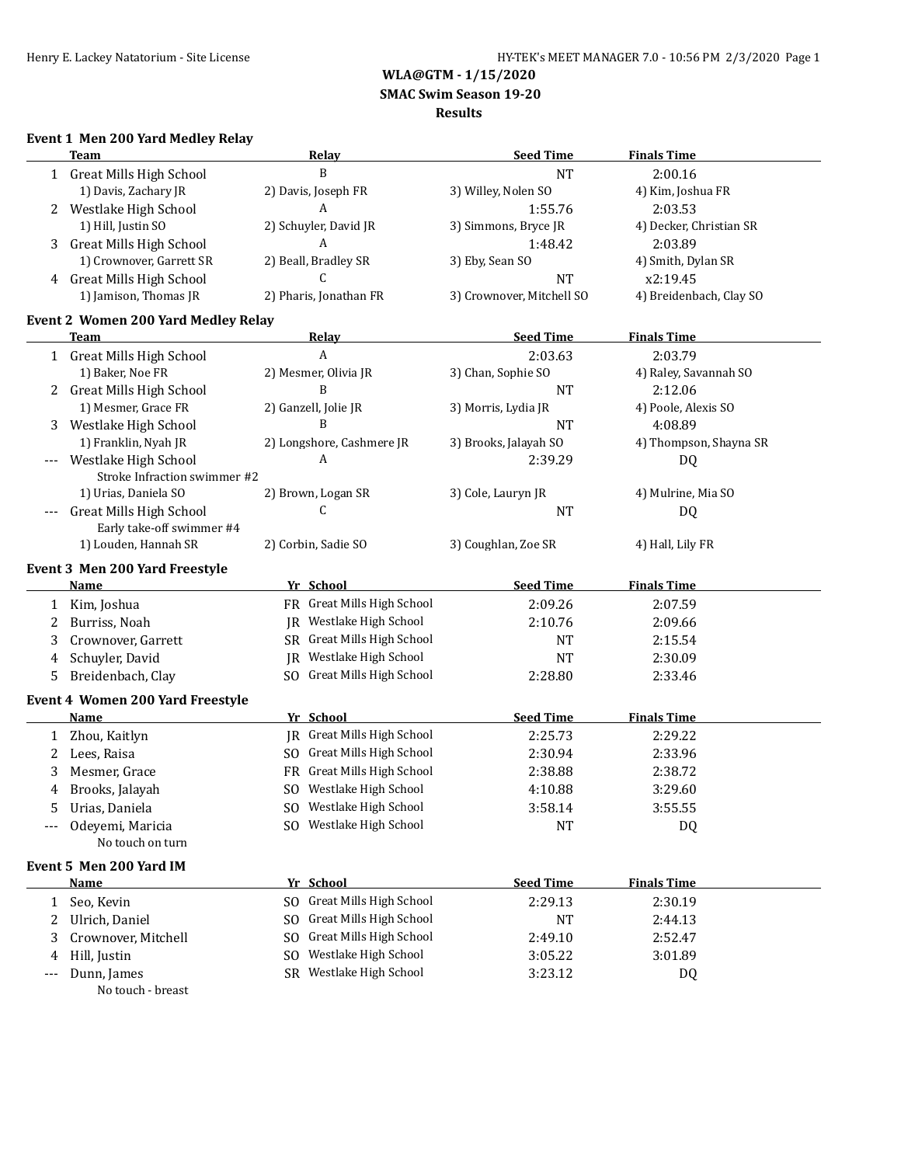**WLA@GTM - 1/15/2020**

 **SMAC Swim Season 19-20**

#### **Results**

### **Event 1 Men 200 Yard Medley Relay**

|              | <b>Team</b>                                          |     | <b>Relay</b>                            | <b>Seed Time</b>                 | <b>Finals Time</b>             |
|--------------|------------------------------------------------------|-----|-----------------------------------------|----------------------------------|--------------------------------|
|              | 1 Great Mills High School                            |     | B                                       | <b>NT</b>                        | 2:00.16                        |
|              | 1) Davis, Zachary JR                                 |     | 2) Davis, Joseph FR                     | 3) Willey, Nolen SO              | 4) Kim, Joshua FR              |
| 2            | Westlake High School                                 |     | A                                       | 1:55.76                          | 2:03.53                        |
|              | 1) Hill, Justin SO                                   |     | 2) Schuyler, David JR                   | 3) Simmons, Bryce JR             | 4) Decker, Christian SR        |
| 3            | <b>Great Mills High School</b>                       |     | A                                       | 1:48.42                          | 2:03.89                        |
|              | 1) Crownover, Garrett SR                             |     | 2) Beall, Bradley SR                    | 3) Eby, Sean SO                  | 4) Smith, Dylan SR             |
| 4            | <b>Great Mills High School</b>                       |     | C.                                      | <b>NT</b>                        | x2:19.45                       |
|              | 1) Jamison, Thomas JR                                |     | 2) Pharis, Jonathan FR                  | 3) Crownover, Mitchell SO        | 4) Breidenbach, Clay SO        |
|              | <b>Event 2 Women 200 Yard Medley Relay</b>           |     |                                         |                                  |                                |
|              | Team                                                 |     | <b>Relay</b>                            | <b>Seed Time</b>                 | <b>Finals Time</b>             |
|              | 1 Great Mills High School                            |     | A                                       | 2:03.63                          | 2:03.79                        |
|              | 1) Baker, Noe FR                                     |     | 2) Mesmer, Olivia JR                    | 3) Chan, Sophie SO               | 4) Raley, Savannah SO          |
|              | 2 Great Mills High School                            |     | B                                       | <b>NT</b>                        | 2:12.06                        |
|              | 1) Mesmer, Grace FR                                  |     | 2) Ganzell, Jolie JR                    |                                  |                                |
|              |                                                      |     | B                                       | 3) Morris, Lydia JR<br><b>NT</b> | 4) Poole, Alexis SO<br>4:08.89 |
| 3            | Westlake High School                                 |     |                                         |                                  |                                |
|              | 1) Franklin, Nyah JR                                 |     | 2) Longshore, Cashmere JR<br>A          | 3) Brooks, Jalayah SO            | 4) Thompson, Shayna SR         |
| $---$        | Westlake High School<br>Stroke Infraction swimmer #2 |     |                                         | 2:39.29                          | DQ                             |
|              | 1) Urias, Daniela SO                                 |     | 2) Brown, Logan SR                      | 3) Cole, Lauryn JR               | 4) Mulrine, Mia SO             |
|              | <b>Great Mills High School</b>                       |     | C                                       | <b>NT</b>                        | DQ                             |
|              | Early take-off swimmer #4                            |     |                                         |                                  |                                |
|              | 1) Louden, Hannah SR                                 |     | 2) Corbin, Sadie SO                     | 3) Coughlan, Zoe SR              | 4) Hall, Lily FR               |
|              |                                                      |     |                                         |                                  |                                |
|              | Event 3 Men 200 Yard Freestyle                       |     |                                         |                                  |                                |
|              | <b>Name</b>                                          |     | Yr School<br>FR Great Mills High School | <b>Seed Time</b>                 | <b>Finals Time</b>             |
| $\mathbf{1}$ | Kim, Joshua                                          |     |                                         | 2:09.26                          | 2:07.59                        |
| 2            | Burriss, Noah                                        |     | JR Westlake High School                 | 2:10.76                          | 2:09.66                        |
| 3            | Crownover, Garrett                                   |     | SR Great Mills High School              | <b>NT</b>                        | 2:15.54                        |
| 4            | Schuyler, David                                      |     | JR Westlake High School                 | <b>NT</b>                        | 2:30.09                        |
| 5            | Breidenbach, Clay                                    |     | SO Great Mills High School              | 2:28.80                          | 2:33.46                        |
|              | Event 4 Women 200 Yard Freestyle                     |     |                                         |                                  |                                |
|              | Name                                                 |     | Yr School                               | <b>Seed Time</b>                 | <b>Finals Time</b>             |
| 1            | Zhou, Kaitlyn                                        |     | JR Great Mills High School              | 2:25.73                          | 2:29.22                        |
| 2            | Lees, Raisa                                          |     | SO Great Mills High School              | 2:30.94                          | 2:33.96                        |
| 3            | Mesmer, Grace                                        |     | FR Great Mills High School              | 2:38.88                          | 2:38.72                        |
| 4            | Brooks, Jalayah                                      |     | SO Westlake High School                 | 4:10.88                          | 3:29.60                        |
|              | Urias, Daniela                                       |     | SO Westlake High School                 | 3:58.14                          | 3:55.55                        |
|              | Odeyemi, Maricia                                     |     | SO Westlake High School                 | NT                               | DQ                             |
|              | No touch on turn                                     |     |                                         |                                  |                                |
|              | Event 5 Men 200 Yard IM                              |     |                                         |                                  |                                |
|              | <b>Name</b>                                          |     | Yr School                               | <b>Seed Time</b>                 | <b>Finals Time</b>             |
| 1            | Seo, Kevin                                           |     | SO Great Mills High School              | 2:29.13                          | 2:30.19                        |
| 2            | Ulrich, Daniel                                       | SO. | Great Mills High School                 | NT                               | 2:44.13                        |
| 3            | Crownover, Mitchell                                  | SO. | <b>Great Mills High School</b>          | 2:49.10                          | 2:52.47                        |
| 4            | Hill, Justin                                         | SO. | Westlake High School                    | 3:05.22                          | 3:01.89                        |
|              | Dunn, James                                          |     | SR Westlake High School                 | 3:23.12                          |                                |
|              | No touch - breast                                    |     |                                         |                                  | DQ                             |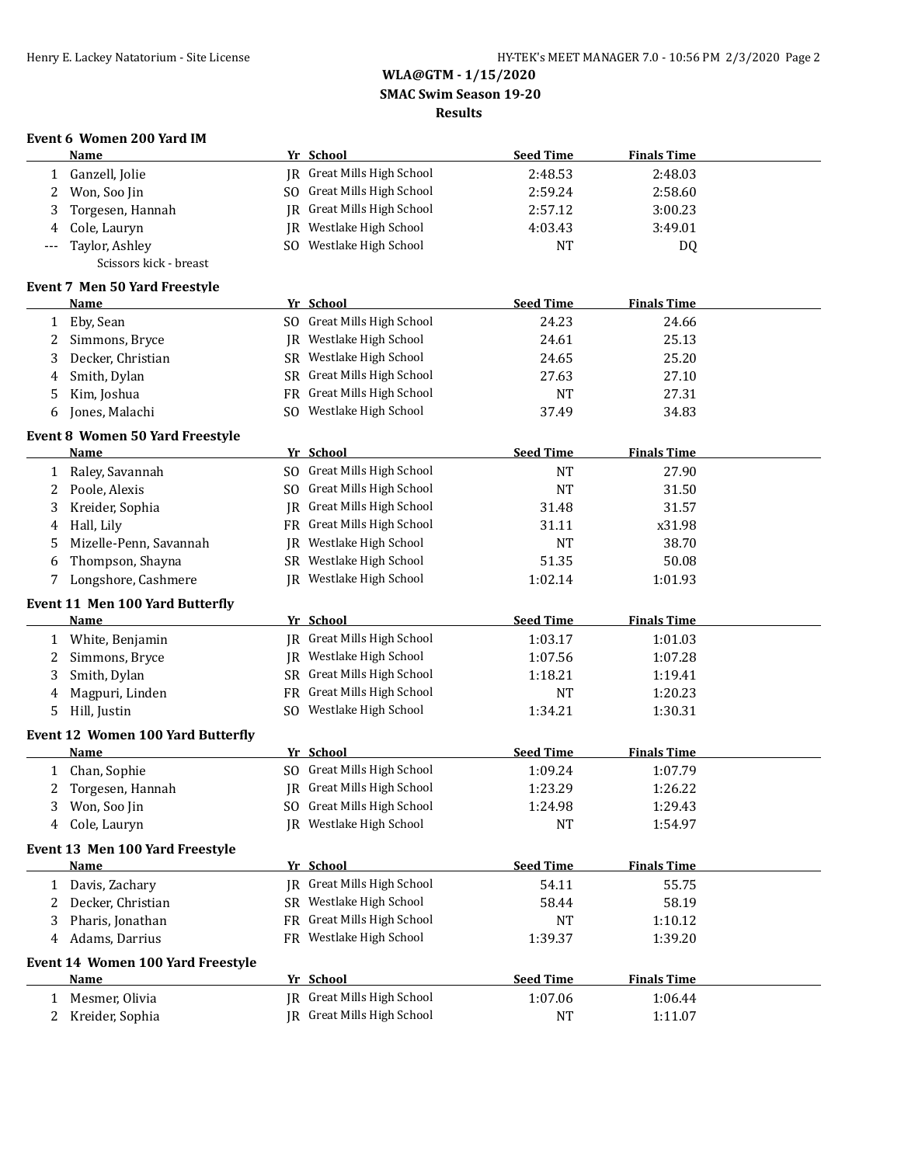#### **WLA@GTM - 1/15/2020 SMAC Swim Season 19-20 Results**

## **Event 6 Women 200 Yard IM**

|                   | <b>Name</b>                              | Yr School                  | <b>Seed Time</b> | <b>Finals Time</b> |  |
|-------------------|------------------------------------------|----------------------------|------------------|--------------------|--|
| 1                 | Ganzell, Jolie                           | IR Great Mills High School | 2:48.53          | 2:48.03            |  |
| 2                 | Won, Soo Jin                             | SO Great Mills High School | 2:59.24          | 2:58.60            |  |
| 3                 | Torgesen, Hannah                         | JR Great Mills High School | 2:57.12          | 3:00.23            |  |
| 4                 | Cole, Lauryn                             | JR Westlake High School    | 4:03.43          | 3:49.01            |  |
| ---               | Taylor, Ashley                           | SO Westlake High School    | <b>NT</b>        | DQ                 |  |
|                   | Scissors kick - breast                   |                            |                  |                    |  |
|                   | Event 7 Men 50 Yard Freestyle            |                            |                  |                    |  |
|                   | <b>Name</b>                              | Yr School                  | <b>Seed Time</b> | <b>Finals Time</b> |  |
|                   | Eby, Sean                                | SO Great Mills High School | 24.23            | 24.66              |  |
| $\mathbf{1}$<br>2 | Simmons, Bryce                           | JR Westlake High School    | 24.61            | 25.13              |  |
|                   |                                          | SR Westlake High School    |                  |                    |  |
| 3                 | Decker, Christian                        |                            | 24.65            | 25.20              |  |
| 4                 | Smith, Dylan                             | SR Great Mills High School | 27.63            | 27.10              |  |
| 5                 | Kim, Joshua                              | FR Great Mills High School | <b>NT</b>        | 27.31              |  |
| 6                 | Jones, Malachi                           | SO Westlake High School    | 37.49            | 34.83              |  |
|                   | <b>Event 8 Women 50 Yard Freestyle</b>   |                            |                  |                    |  |
|                   | Name                                     | Yr School                  | <b>Seed Time</b> | <b>Finals Time</b> |  |
| $\mathbf{1}$      | Raley, Savannah                          | SO Great Mills High School | <b>NT</b>        | 27.90              |  |
| 2                 | Poole, Alexis                            | SO Great Mills High School | <b>NT</b>        | 31.50              |  |
| 3                 | Kreider, Sophia                          | JR Great Mills High School | 31.48            | 31.57              |  |
| 4                 | Hall, Lily                               | FR Great Mills High School | 31.11            | x31.98             |  |
| 5                 | Mizelle-Penn, Savannah                   | JR Westlake High School    | <b>NT</b>        | 38.70              |  |
| 6                 | Thompson, Shayna                         | SR Westlake High School    | 51.35            | 50.08              |  |
| 7                 | Longshore, Cashmere                      | JR Westlake High School    | 1:02.14          | 1:01.93            |  |
|                   | Event 11 Men 100 Yard Butterfly          |                            |                  |                    |  |
|                   | Name                                     | Yr School                  | <b>Seed Time</b> | <b>Finals Time</b> |  |
|                   | 1 White, Benjamin                        | JR Great Mills High School | 1:03.17          | 1:01.03            |  |
| 2                 | Simmons, Bryce                           | JR Westlake High School    | 1:07.56          | 1:07.28            |  |
| 3                 | Smith, Dylan                             | SR Great Mills High School | 1:18.21          | 1:19.41            |  |
| 4                 | Magpuri, Linden                          | FR Great Mills High School | NT               | 1:20.23            |  |
| 5                 | Hill, Justin                             | SO Westlake High School    | 1:34.21          | 1:30.31            |  |
|                   |                                          |                            |                  |                    |  |
|                   | <b>Event 12 Women 100 Yard Butterfly</b> |                            |                  |                    |  |
|                   | Name                                     | Yr School                  | <b>Seed Time</b> | <b>Finals Time</b> |  |
| $\mathbf{1}$      | Chan, Sophie                             | SO Great Mills High School | 1:09.24          | 1:07.79            |  |
| 2                 | Torgesen, Hannah                         | JR Great Mills High School | 1:23.29          | 1:26.22            |  |
| $\mathbf{3}$      | Won, Soo Jin                             | SO Great Mills High School | 1:24.98          | 1:29.43            |  |
|                   | 4 Cole, Lauryn                           | JR Westlake High School    | <b>NT</b>        | 1:54.97            |  |
|                   | Event 13 Men 100 Yard Freestyle          |                            |                  |                    |  |
|                   | Name                                     | Yr School                  | <b>Seed Time</b> | <b>Finals Time</b> |  |
| 1                 | Davis, Zachary                           | JR Great Mills High School | 54.11            | 55.75              |  |
| 2                 | Decker, Christian                        | SR Westlake High School    | 58.44            | 58.19              |  |
| 3                 | Pharis, Jonathan                         | FR Great Mills High School | NT               | 1:10.12            |  |
| 4                 | Adams, Darrius                           | FR Westlake High School    | 1:39.37          | 1:39.20            |  |
|                   | <b>Event 14 Women 100 Yard Freestyle</b> |                            |                  |                    |  |
|                   | <u>Name</u>                              | Yr School                  | <b>Seed Time</b> | <b>Finals Time</b> |  |
| 1                 | Mesmer, Olivia                           | JR Great Mills High School | 1:07.06          | 1:06.44            |  |
| 2                 | Kreider, Sophia                          | JR Great Mills High School | NT               | 1:11.07            |  |
|                   |                                          |                            |                  |                    |  |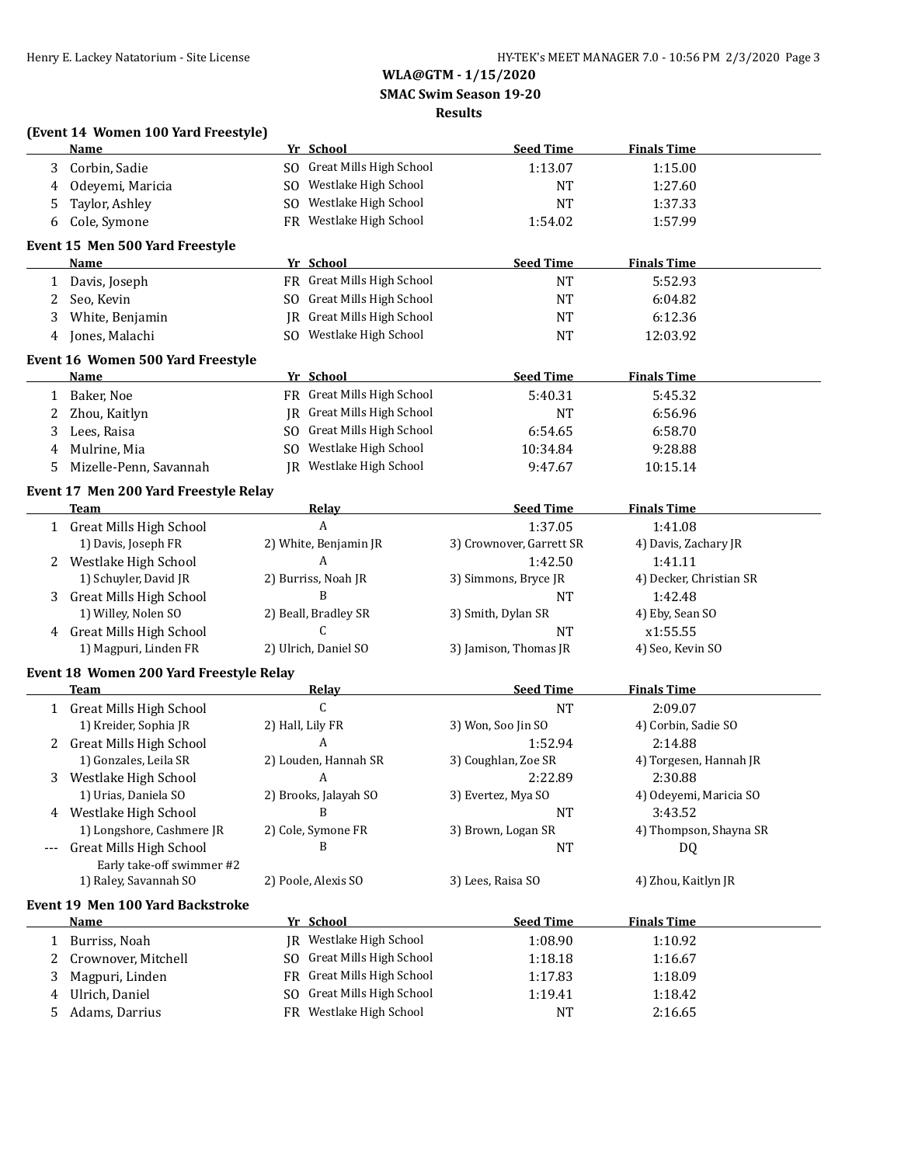**(Event 14 Women 100 Yard Freestyle)**

### **WLA@GTM - 1/15/2020 SMAC Swim Season 19-20**

## **Results**

|              | Name                                    | Yr School                             | <b>Seed Time</b>         | <b>Finals Time</b>      |
|--------------|-----------------------------------------|---------------------------------------|--------------------------|-------------------------|
| 3            | Corbin, Sadie                           | SO Great Mills High School            | 1:13.07                  | 1:15.00                 |
| 4            | Odeyemi, Maricia                        | SO Westlake High School               | NT                       | 1:27.60                 |
| 5            | Taylor, Ashley                          | SO Westlake High School               | NT                       | 1:37.33                 |
| 6            | Cole, Symone                            | FR Westlake High School               | 1:54.02                  | 1:57.99                 |
|              |                                         |                                       |                          |                         |
|              | Event 15 Men 500 Yard Freestyle<br>Name | Yr School                             | <b>Seed Time</b>         | <b>Finals Time</b>      |
| $\mathbf{1}$ | Davis, Joseph                           | FR Great Mills High School            | <b>NT</b>                | 5:52.93                 |
|              |                                         | SO Great Mills High School            |                          |                         |
| 2            | Seo, Kevin                              |                                       | <b>NT</b>                | 6:04.82                 |
| 3            | White, Benjamin                         | JR Great Mills High School            | <b>NT</b>                | 6:12.36                 |
| 4            | Jones, Malachi                          | SO Westlake High School               | <b>NT</b>                | 12:03.92                |
|              | Event 16 Women 500 Yard Freestyle       |                                       |                          |                         |
|              | Name                                    | Yr School                             | <b>Seed Time</b>         | <b>Finals Time</b>      |
| 1            | Baker, Noe                              | FR Great Mills High School            | 5:40.31                  | 5:45.32                 |
| 2            | Zhou, Kaitlyn                           | JR Great Mills High School            | <b>NT</b>                | 6:56.96                 |
| 3            | Lees, Raisa                             | SO Great Mills High School            | 6:54.65                  | 6:58.70                 |
| 4            | Mulrine, Mia                            | SO Westlake High School               | 10:34.84                 | 9:28.88                 |
| 5            | Mizelle-Penn, Savannah                  | JR Westlake High School               | 9:47.67                  | 10:15.14                |
|              | Event 17 Men 200 Yard Freestyle Relay   |                                       |                          |                         |
|              | <b>Team</b>                             | Relay                                 | <b>Seed Time</b>         | <b>Finals Time</b>      |
|              | 1 Great Mills High School               | $\mathbf{A}$                          | 1:37.05                  | 1:41.08                 |
|              | 1) Davis, Joseph FR                     | 2) White, Benjamin JR                 | 3) Crownover, Garrett SR | 4) Davis, Zachary JR    |
|              | 2 Westlake High School                  | A                                     | 1:42.50                  | 1:41.11                 |
|              | 1) Schuyler, David JR                   | 2) Burriss, Noah JR                   | 3) Simmons, Bryce JR     | 4) Decker, Christian SR |
|              | 3 Great Mills High School               | B                                     | <b>NT</b>                | 1:42.48                 |
|              | 1) Willey, Nolen SO                     | 2) Beall, Bradley SR                  | 3) Smith, Dylan SR       | 4) Eby, Sean SO         |
|              | 4 Great Mills High School               | C                                     | <b>NT</b>                | x1:55.55                |
|              | 1) Magpuri, Linden FR                   | 2) Ulrich, Daniel SO                  | 3) Jamison, Thomas JR    | 4) Seo, Kevin SO        |
|              | Event 18 Women 200 Yard Freestyle Relay |                                       |                          |                         |
|              | Team                                    | Relay                                 | <b>Seed Time</b>         | <b>Finals Time</b>      |
|              | 1 Great Mills High School               | C                                     | <b>NT</b>                | 2:09.07                 |
|              | 1) Kreider, Sophia JR                   | 2) Hall, Lily FR                      | 3) Won, Soo Jin SO       | 4) Corbin, Sadie SO     |
|              | 2 Great Mills High School               | A                                     | 1:52.94                  | 2:14.88                 |
|              | 1) Gonzales, Leila SR                   | 2) Louden, Hannah SR                  | 3) Coughlan, Zoe SR      | 4) Torgesen, Hannah JR  |
|              | 3 Westlake High School                  | A                                     | 2:22.89                  | 2:30.88                 |
|              | 1) Urias, Daniela SO                    | 2) Brooks, Jalayah SO                 | 3) Evertez, Mya SO       | 4) Odeyemi, Maricia SO  |
|              | 4 Westlake High School                  | B                                     | <b>NT</b>                | 3:43.52                 |
|              | 1) Longshore, Cashmere JR               | 2) Cole, Symone FR                    | 3) Brown, Logan SR       | 4) Thompson, Shayna SR  |
| $---$        | <b>Great Mills High School</b>          | B                                     | <b>NT</b>                | DQ                      |
|              | Early take-off swimmer #2               |                                       |                          |                         |
|              | 1) Raley, Savannah SO                   | 2) Poole, Alexis SO                   | 3) Lees, Raisa SO        | 4) Zhou, Kaitlyn JR     |
|              |                                         |                                       |                          |                         |
|              | Event 19 Men 100 Yard Backstroke        |                                       |                          |                         |
|              | <b>Name</b>                             | Yr School<br>JR Westlake High School  | <b>Seed Time</b>         | <b>Finals Time</b>      |
| $\mathbf{1}$ | Burriss, Noah                           |                                       | 1:08.90                  | 1:10.92                 |
| 2            | Crownover, Mitchell                     | SO Great Mills High School            | 1:18.18                  | 1:16.67                 |
| 3            | Magpuri, Linden                         | FR Great Mills High School            | 1:17.83                  | 1:18.09                 |
| 4            | Ulrich, Daniel                          | <b>Great Mills High School</b><br>SO. | 1:19.41                  | 1:18.42                 |
| 5            | Adams, Darrius                          | FR Westlake High School               | NT                       | 2:16.65                 |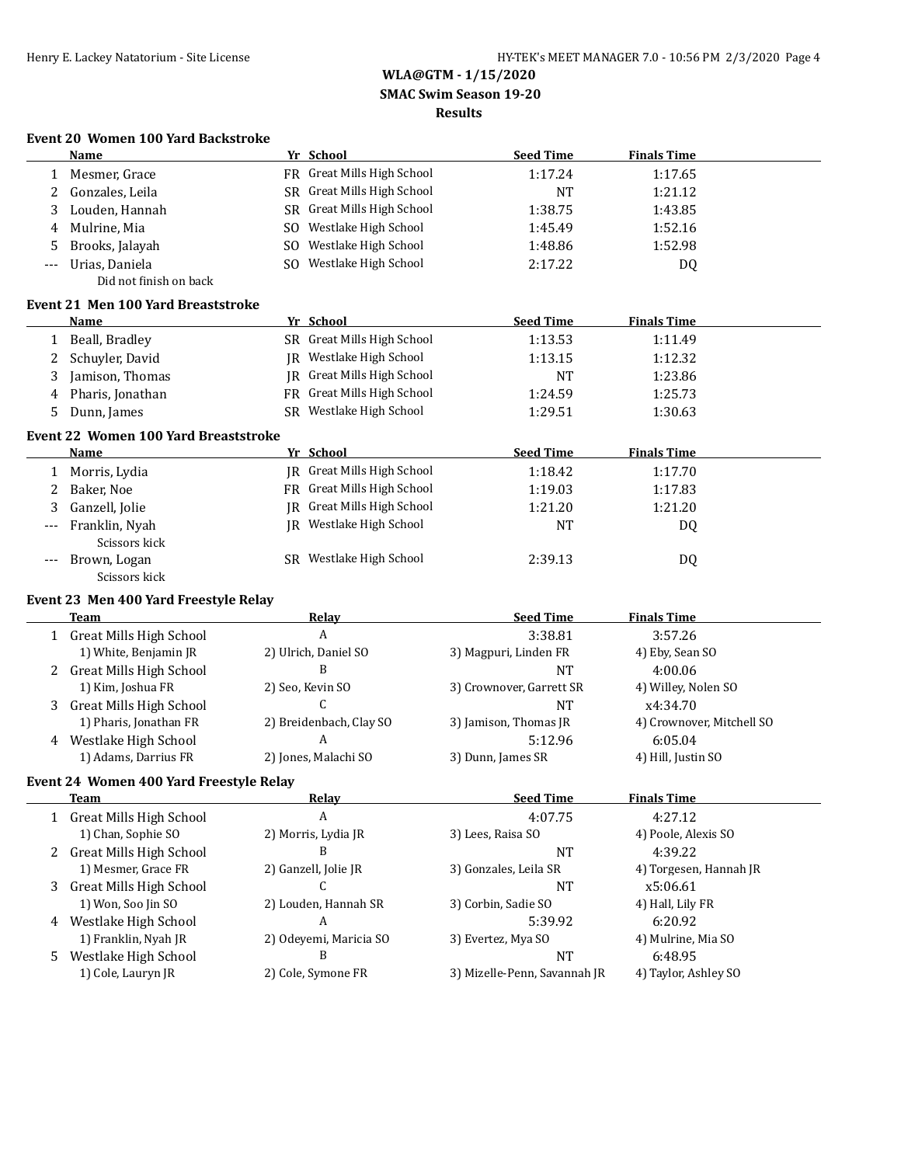#### **WLA@GTM - 1/15/2020 SMAC Swim Season 19-20 Results**

#### **Event 20 Women 100 Yard Backstroke**

|              | <b>Name</b>                                 | Yr School                  | <b>Seed Time</b>         | <b>Finals Time</b>        |
|--------------|---------------------------------------------|----------------------------|--------------------------|---------------------------|
| 1            | Mesmer, Grace                               | FR Great Mills High School | 1:17.24                  | 1:17.65                   |
| 2            | Gonzales, Leila                             | SR Great Mills High School | <b>NT</b>                | 1:21.12                   |
| 3            | Louden, Hannah                              | SR Great Mills High School | 1:38.75                  | 1:43.85                   |
| 4            | Mulrine, Mia                                | SO Westlake High School    | 1:45.49                  | 1:52.16                   |
| 5            | Brooks, Jalayah                             | SO Westlake High School    | 1:48.86                  | 1:52.98                   |
| ---          | Urias, Daniela                              | SO Westlake High School    | 2:17.22                  | <b>DQ</b>                 |
|              | Did not finish on back                      |                            |                          |                           |
|              | <b>Event 21 Men 100 Yard Breaststroke</b>   |                            |                          |                           |
|              | Name                                        | Yr School                  | <b>Seed Time</b>         | <b>Finals Time</b>        |
| $\mathbf{1}$ | Beall, Bradley                              | SR Great Mills High School | 1:13.53                  | 1:11.49                   |
| 2            | Schuyler, David                             | JR Westlake High School    | 1:13.15                  | 1:12.32                   |
| 3            | Jamison, Thomas                             | JR Great Mills High School | NT                       | 1:23.86                   |
| 4            | Pharis, Jonathan                            | FR Great Mills High School | 1:24.59                  | 1:25.73                   |
| 5            | Dunn, James                                 | SR Westlake High School    | 1:29.51                  | 1:30.63                   |
|              | <b>Event 22 Women 100 Yard Breaststroke</b> |                            |                          |                           |
|              | <b>Name</b>                                 | Yr School                  | <b>Seed Time</b>         | <b>Finals Time</b>        |
| 1            | Morris, Lydia                               | JR Great Mills High School | 1:18.42                  | 1:17.70                   |
| 2            | Baker, Noe                                  | FR Great Mills High School | 1:19.03                  | 1:17.83                   |
| 3            | Ganzell, Jolie                              | JR Great Mills High School | 1:21.20                  | 1:21.20                   |
|              | Franklin, Nyah                              | JR Westlake High School    | <b>NT</b>                | DQ                        |
|              | Scissors kick                               |                            |                          |                           |
| ---          | Brown, Logan                                | SR Westlake High School    | 2:39.13                  | DQ                        |
|              | Scissors kick                               |                            |                          |                           |
|              | Event 23 Men 400 Yard Freestyle Relay       |                            |                          |                           |
|              | Team                                        | <b>Relay</b>               | <b>Seed Time</b>         | <b>Finals Time</b>        |
|              | 1 Great Mills High School                   | A                          | 3:38.81                  | 3:57.26                   |
|              | 1) White, Benjamin JR                       | 2) Ulrich, Daniel SO       | 3) Magpuri, Linden FR    | 4) Eby, Sean SO           |
|              | 2 Great Mills High School                   | B                          | <b>NT</b>                | 4:00.06                   |
|              | 1) Kim, Joshua FR                           | 2) Seo, Kevin SO           | 3) Crownover, Garrett SR | 4) Willey, Nolen SO       |
| 3            | <b>Great Mills High School</b>              | C                          | <b>NT</b>                | x4:34.70                  |
|              | 1) Pharis, Jonathan FR                      | 2) Breidenbach, Clay SO    | 3) Jamison, Thomas JR    | 4) Crownover, Mitchell SO |
|              | 4 Westlake High School                      | A                          | 5:12.96                  | 6:05.04                   |
|              | 1) Adams, Darrius FR                        | 2) Jones, Malachi SO       | 3) Dunn, James SR        | 4) Hill, Justin SO        |
|              | Event 24 Women 400 Yard Freestyle Relay     |                            |                          |                           |
|              | Team                                        | Relay                      | <b>Seed Time</b>         | <b>Finals Time</b>        |
|              | 1 Great Mills High School                   | $\boldsymbol{A}$           | 4:07.75                  | 4:27.12                   |
|              | 1) Chan, Sophie SO                          | 2) Morris, Lydia JR        | 3) Lees, Raisa SO        | 4) Poole, Alexis SO       |
|              | 2 Great Mills High School                   | B                          | NT                       | 4:39.22                   |
|              | 1) Mesmer, Grace FR                         | 2) Ganzell, Jolie JR       | 3) Gonzales, Leila SR    | 4) Torgesen, Hannah JR    |
| 3            | <b>Great Mills High School</b>              | C.                         | <b>NT</b>                | x5:06.61                  |
|              | 1) Won, Soo Jin SO                          | 2) Louden, Hannah SR       | 3) Corbin, Sadie SO      | 4) Hall, Lily FR          |
|              | 4 Westlake High School                      | A                          | 5:39.92                  | 6:20.92                   |
|              | 1) Franklin, Nyah JR                        | 2) Odeyemi, Maricia SO     | 3) Evertez, Mya SO       | 4) Mulrine, Mia SO        |
|              |                                             |                            |                          |                           |

5 Westlake High School B<br>1) Cole, Lauryn JR (1995) 2) Cole, Symone FR (1996) 3) Mizelle-Penn, Savannah JR (1996), As

2) Cole, Symone FR 3) Mizelle-Penn, Savannah JR 4) Taylor, Ashley SO